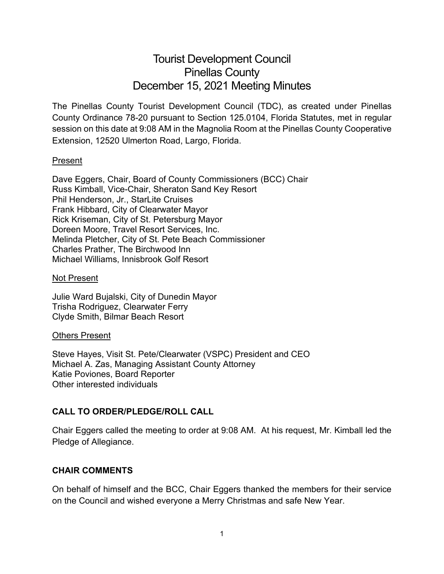# Tourist Development Council Pinellas County December 15, 2021 Meeting Minutes

The Pinellas County Tourist Development Council (TDC), as created under Pinellas County Ordinance 78-20 pursuant to Section 125.0104, Florida Statutes, met in regular session on this date at 9:08 AM in the Magnolia Room at the Pinellas County Cooperative Extension, 12520 Ulmerton Road, Largo, Florida.

#### Present

Dave Eggers, Chair, Board of County Commissioners (BCC) Chair Russ Kimball, Vice-Chair, Sheraton Sand Key Resort Phil Henderson, Jr., StarLite Cruises Frank Hibbard, City of Clearwater Mayor Rick Kriseman, City of St. Petersburg Mayor Doreen Moore, Travel Resort Services, Inc. Melinda Pletcher, City of St. Pete Beach Commissioner Charles Prather, The Birchwood Inn Michael Williams, Innisbrook Golf Resort

#### Not Present

Julie Ward Bujalski, City of Dunedin Mayor Trisha Rodriguez, Clearwater Ferry Clyde Smith, Bilmar Beach Resort

#### Others Present

Steve Hayes, Visit St. Pete/Clearwater (VSPC) President and CEO Michael A. Zas, Managing Assistant County Attorney Katie Poviones, Board Reporter Other interested individuals

# **CALL TO ORDER/PLEDGE/ROLL CALL**

Chair Eggers called the meeting to order at 9:08 AM. At his request, Mr. Kimball led the Pledge of Allegiance.

#### **CHAIR COMMENTS**

On behalf of himself and the BCC, Chair Eggers thanked the members for their service on the Council and wished everyone a Merry Christmas and safe New Year.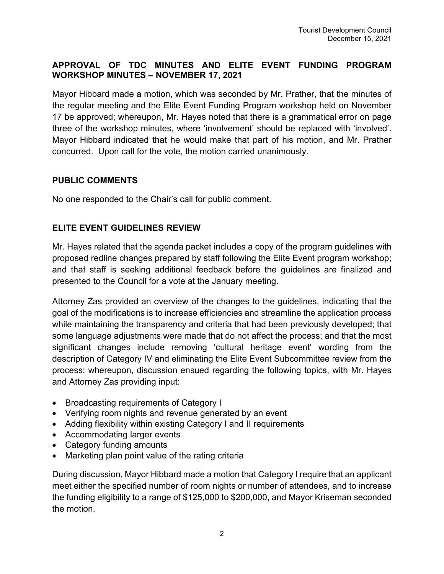# **APPROVAL OF TDC MINUTES AND ELITE EVENT FUNDING PROGRAM WORKSHOP MINUTES – NOVEMBER 17, 2021**

Mayor Hibbard made a motion, which was seconded by Mr. Prather, that the minutes of the regular meeting and the Elite Event Funding Program workshop held on November 17 be approved; whereupon, Mr. Hayes noted that there is a grammatical error on page three of the workshop minutes, where 'involvement' should be replaced with 'involved'. Mayor Hibbard indicated that he would make that part of his motion, and Mr. Prather concurred. Upon call for the vote, the motion carried unanimously.

#### **PUBLIC COMMENTS**

No one responded to the Chair's call for public comment.

# **ELITE EVENT GUIDELINES REVIEW**

Mr. Hayes related that the agenda packet includes a copy of the program guidelines with proposed redline changes prepared by staff following the Elite Event program workshop; and that staff is seeking additional feedback before the guidelines are finalized and presented to the Council for a vote at the January meeting.

Attorney Zas provided an overview of the changes to the guidelines, indicating that the goal of the modifications is to increase efficiencies and streamline the application process while maintaining the transparency and criteria that had been previously developed; that some language adjustments were made that do not affect the process; and that the most significant changes include removing 'cultural heritage event' wording from the description of Category IV and eliminating the Elite Event Subcommittee review from the process; whereupon, discussion ensued regarding the following topics, with Mr. Hayes and Attorney Zas providing input:

- Broadcasting requirements of Category I
- Verifying room nights and revenue generated by an event
- Adding flexibility within existing Category I and II requirements
- Accommodating larger events
- Category funding amounts
- Marketing plan point value of the rating criteria

During discussion, Mayor Hibbard made a motion that Category I require that an applicant meet either the specified number of room nights or number of attendees, and to increase the funding eligibility to a range of \$125,000 to \$200,000, and Mayor Kriseman seconded the motion.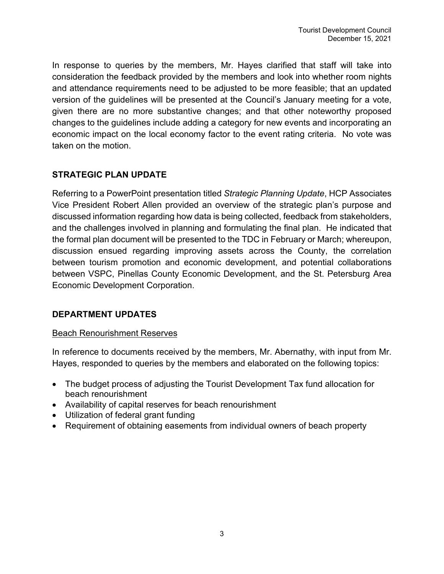In response to queries by the members, Mr. Hayes clarified that staff will take into consideration the feedback provided by the members and look into whether room nights and attendance requirements need to be adjusted to be more feasible; that an updated version of the guidelines will be presented at the Council's January meeting for a vote, given there are no more substantive changes; and that other noteworthy proposed changes to the guidelines include adding a category for new events and incorporating an economic impact on the local economy factor to the event rating criteria. No vote was taken on the motion.

# **STRATEGIC PLAN UPDATE**

Referring to a PowerPoint presentation titled *Strategic Planning Update*, HCP Associates Vice President Robert Allen provided an overview of the strategic plan's purpose and discussed information regarding how data is being collected, feedback from stakeholders, and the challenges involved in planning and formulating the final plan. He indicated that the formal plan document will be presented to the TDC in February or March; whereupon, discussion ensued regarding improving assets across the County, the correlation between tourism promotion and economic development, and potential collaborations between VSPC, Pinellas County Economic Development, and the St. Petersburg Area Economic Development Corporation.

# **DEPARTMENT UPDATES**

#### Beach Renourishment Reserves

In reference to documents received by the members, Mr. Abernathy, with input from Mr. Hayes, responded to queries by the members and elaborated on the following topics:

- The budget process of adjusting the Tourist Development Tax fund allocation for beach renourishment
- Availability of capital reserves for beach renourishment
- Utilization of federal grant funding
- Requirement of obtaining easements from individual owners of beach property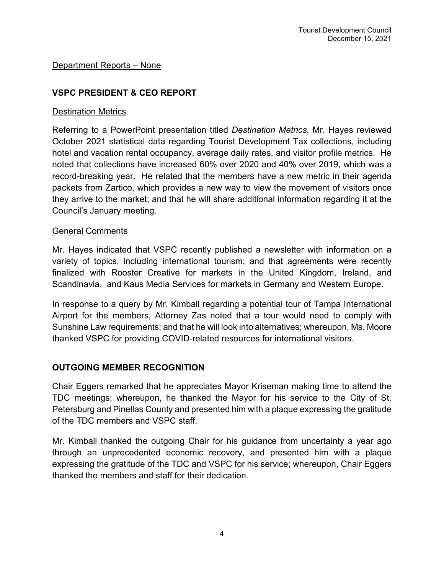### Department Reports – None

# **VSPC PRESIDENT & CEO REPORT**

#### Destination Metrics

Referring to a PowerPoint presentation titled *Destination Metrics*, Mr. Hayes reviewed October 2021 statistical data regarding Tourist Development Tax collections, including hotel and vacation rental occupancy, average daily rates, and visitor profile metrics. He noted that collections have increased 60% over 2020 and 40% over 2019, which was a record-breaking year. He related that the members have a new metric in their agenda packets from Zartico, which provides a new way to view the movement of visitors once they arrive to the market; and that he will share additional information regarding it at the Council's January meeting.

#### General Comments

Mr. Hayes indicated that VSPC recently published a newsletter with information on a variety of topics, including international tourism; and that agreements were recently finalized with Rooster Creative for markets in the United Kingdom, Ireland, and Scandinavia, and Kaus Media Services for markets in Germany and Western Europe.

In response to a query by Mr. Kimball regarding a potential tour of Tampa International Airport for the members, Attorney Zas noted that a tour would need to comply with Sunshine Law requirements; and that he will look into alternatives; whereupon, Ms. Moore thanked VSPC for providing COVID-related resources for international visitors.

# **OUTGOING MEMBER RECOGNITION**

Chair Eggers remarked that he appreciates Mayor Kriseman making time to attend the TDC meetings; whereupon, he thanked the Mayor for his service to the City of St. Petersburg and Pinellas County and presented him with a plaque expressing the gratitude of the TDC members and VSPC staff.

Mr. Kimball thanked the outgoing Chair for his guidance from uncertainty a year ago through an unprecedented economic recovery, and presented him with a plaque expressing the gratitude of the TDC and VSPC for his service; whereupon, Chair Eggers thanked the members and staff for their dedication.